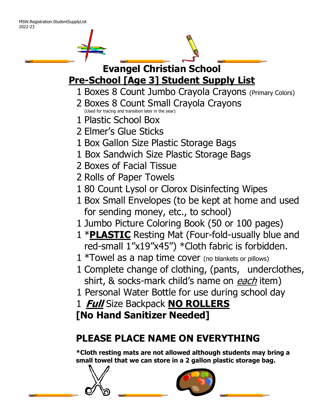# **Evangel Christian School Pre-School [Age 3] Student Supply List**

- 1 Boxes 8 Count Jumbo Crayola Crayons (Primary Colors)
- 2 Boxes 8 Count Small Crayola Crayons (Used for tracing and transition later in the year)
- 1 Plastic School Box
- 2 Elmer's Glue Sticks
- 1 Box Gallon Size Plastic Storage Bags
- 1 Box Sandwich Size Plastic Storage Bags
- 2 Boxes of Facial Tissue
- 2 Rolls of Paper Towels
- 1 80 Count Lysol or Clorox Disinfecting Wipes
- 1 Box Small Envelopes (to be kept at home and used for sending money, etc., to school)
- 1 Jumbo Picture Coloring Book (50 or 100 pages)
- 1 \***PLASTIC** Resting Mat (Four-fold-usually blue and red-small 1"x19"x45") \*Cloth fabric is forbidden.
- $1 *T$ owel as a nap time cover (no blankets or pillows)
- 1 Complete change of clothing, (pants, underclothes, shirt, & socks-mark child's name on each item)
- 1 Personal Water Bottle for use during school day
- 1 **Full** Size Backpack **NO ROLLERS [No Hand Sanitizer Needed]**

## **PLEASE PLACE NAME ON EVERYTHING**

**\*Cloth resting mats are not allowed although students may bring a small towel that we can store in a 2 gallon plastic storage bag.**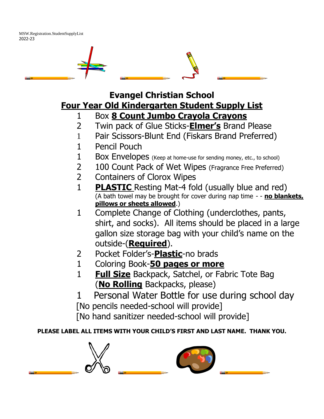

**Evangel Christian School Four Year Old Kindergarten Student Supply List**

- 1 Box **8 Count Jumbo Crayola Crayons**
- 2 Twin pack of Glue Sticks-**Elmer's** Brand Please
- 1 Pair Scissors-Blunt End (Fiskars Brand Preferred)
- 1 Pencil Pouch
- 1 Box Envelopes (Keep at home-use for sending money, etc., to school)
- 2 100 Count Pack of Wet Wipes (Fragrance Free Preferred)
- 2 Containers of Clorox Wipes
- 1 **PLASTIC** Resting Mat-4 fold (usually blue and red) (A bath towel may be brought for cover during nap time - - **no blankets, pillows or sheets allowed**.)
- 1 Complete Change of Clothing (underclothes, pants, shirt, and socks). All items should be placed in a large gallon size storage bag with your child's name on the outside-(**Required**).
- 2 Pocket Folder's-**Plastic**-no brads
- 1 Coloring Book-**50 pages or more**
- 1 **Full Size** Backpack, Satchel, or Fabric Tote Bag (**No Rolling** Backpacks, please)
- 1 Personal Water Bottle for use during school day [No pencils needed-school will provide]

[No hand sanitizer needed-school will provide]

#### **PLEASE LABEL ALL ITEMS WITH YOUR CHILD'S FIRST AND LAST NAME. THANK YOU.**

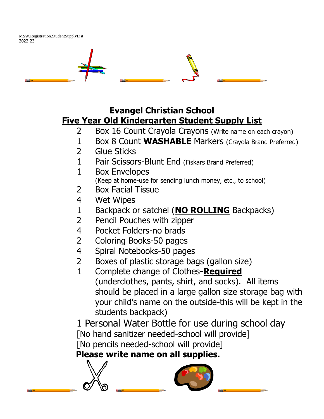

#### **Evangel Christian School Five Year Old Kindergarten Student Supply List**

- 2 Box 16 Count Crayola Crayons (Write name on each crayon)
- 1 Box 8 Count **WASHABLE** Markers (Crayola Brand Preferred)
- 2 Glue Sticks
- 1 Pair Scissors-Blunt End (Fiskars Brand Preferred)
- 1 Box Envelopes (Keep at home-use for sending lunch money, etc., to school)
- 2 Box Facial Tissue
- 4 Wet Wipes
- 1 Backpack or satchel (**NO ROLLING** Backpacks)
- 2 Pencil Pouches with zipper
- 4 Pocket Folders-no brads
- 2 Coloring Books-50 pages
- 4 Spiral Notebooks-50 pages
- 2 Boxes of plastic storage bags (gallon size)
- 1 Complete change of Clothes**-Required** (underclothes, pants, shirt, and socks). All items should be placed in a large gallon size storage bag with your child's name on the outside-this will be kept in the students backpack)

1 Personal Water Bottle for use during school day [No hand sanitizer needed-school will provide] [No pencils needed-school will provide]

### **Please write name on all supplies.**

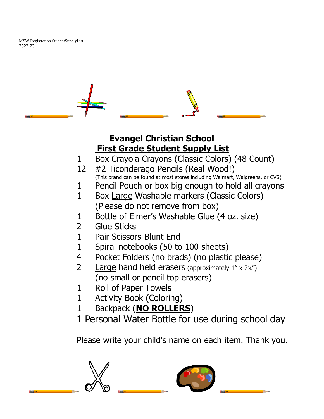### **Evangel Christian School First Grade Student Supply List**

- 1 Box Crayola Crayons (Classic Colors) (48 Count)
- 12 #2 Ticonderago Pencils (Real Wood!) (This brand can be found at most stores including Walmart, Walgreens, or CVS)
- 1 Pencil Pouch or box big enough to hold all crayons
- 1 Box Large Washable markers (Classic Colors) (Please do not remove from box)
- 1 Bottle of Elmer's Washable Glue (4 oz. size)
- 2 Glue Sticks
- 1 Pair Scissors-Blunt End
- 1 Spiral notebooks (50 to 100 sheets)
- 4 Pocket Folders (no brads) (no plastic please)
- 2 Large hand held erasers (approximately 1" x 2¼") (no small or pencil top erasers)
- 1 Roll of Paper Towels
- 1 Activity Book (Coloring)
- 1 Backpack (**NO ROLLERS**)
- 1 Personal Water Bottle for use during school day

Please write your child's name on each item. Thank you.

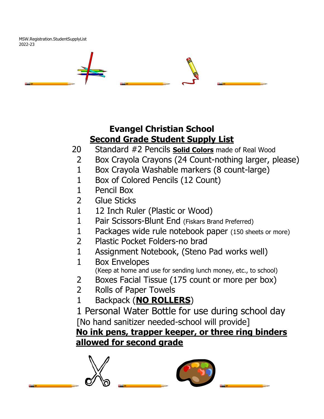## **Evangel Christian School Second Grade Student Supply List**

- 20 Standard #2 Pencils **Solid Colors** made of Real Wood
- 2 Box Crayola Crayons (24 Count-nothing larger, please)
- 1 Box Crayola Washable markers (8 count-large)
- 1 Box of Colored Pencils (12 Count)
- 1 Pencil Box
- 2 Glue Sticks
- 1 12 Inch Ruler (Plastic or Wood)
- 1 Pair Scissors-Blunt End (Fiskars Brand Preferred)
- 1 Packages wide rule notebook paper (150 sheets or more)
- 2 Plastic Pocket Folders-no brad
- 1 Assignment Notebook, (Steno Pad works well)
- 1 Box Envelopes (Keep at home and use for sending lunch money, etc., to school)
- 2 Boxes Facial Tissue (175 count or more per box)
- 2 Rolls of Paper Towels
- 1 Backpack (**NO ROLLERS**)

1 Personal Water Bottle for use during school day [No hand sanitizer needed-school will provide] **No ink pens, trapper keeper, or three ring binders** 

#### **allowed for second grade**

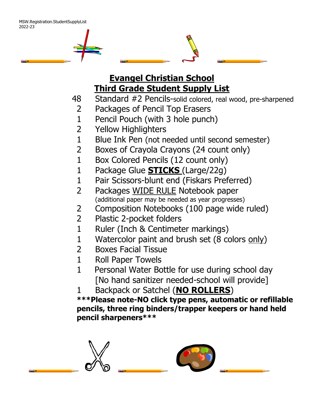

- 48 Standard #2 Pencils-solid colored, real wood, pre-sharpened
- 2 Packages of Pencil Top Erasers
- 1 Pencil Pouch (with 3 hole punch)
- 2 Yellow Highlighters
- 1 Blue Ink Pen (not needed until second semester)
- 2 Boxes of Crayola Crayons (24 count only)
- 1 Box Colored Pencils (12 count only)
- 1 Package Glue **STICKS** (Large/22g)
- 1 Pair Scissors-blunt end (Fiskars Preferred)
- 2 Packages WIDE RULE Notebook paper (additional paper may be needed as year progresses)
- 2 Composition Notebooks (100 page wide ruled)
- 2 Plastic 2-pocket folders
- 1 Ruler (Inch & Centimeter markings)
- 1 Watercolor paint and brush set (8 colors only)
- 2 Boxes Facial Tissue
- 1 Roll Paper Towels
- 1 Personal Water Bottle for use during school day [No hand sanitizer needed-school will provide]
- 1 Backpack or Satchel (**NO ROLLERS**)

**\*\*\*Please note-NO click type pens, automatic or refillable pencils, three ring binders/trapper keepers or hand held pencil sharpeners\*\*\***

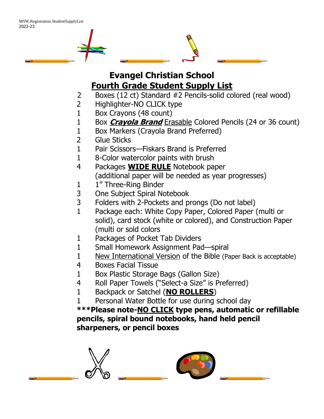

- 2 Boxes (12 ct) Standard #2 Pencils-solid colored (real wood)
- 2 Highlighter-NO CLICK type
- 1 Box Crayons (48 count)
- 1 Box **Crayola Brand** Erasable Colored Pencils (24 or 36 count)
- 1 Box Markers (Crayola Brand Preferred)
- 2 Glue Sticks
- 1 Pair Scissors—Fiskars Brand is Preferred
- 1 8-Color watercolor paints with brush
- 4 Packages **WIDE RULE** Notebook paper (additional paper will be needed as year progresses)
- 1 1" Three-Ring Binder
- 3 One Subject Spiral Notebook
- 3 Folders with 2-Pockets and prongs (Do not label)
- 1 Package each: White Copy Paper, Colored Paper (multi or solid), card stock (white or colored), and Construction Paper (multi or sold colors
- 1 Packages of Pocket Tab Dividers
- 1 Small Homework Assignment Pad—spiral
- 1 New International Version of the Bible (Paper Back is acceptable)
- 4 Boxes Facial Tissue
- 1 Box Plastic Storage Bags (Gallon Size)
- 4 Roll Paper Towels ("Select-a Size" is Preferred)
- 1 Backpack or Satchel (**NO ROLLERS**)
- 1 Personal Water Bottle for use during school day

**\*\*\*Please note-NO CLICK type pens, automatic or refillable pencils, spiral bound notebooks, hand held pencil sharpeners, or pencil boxes**